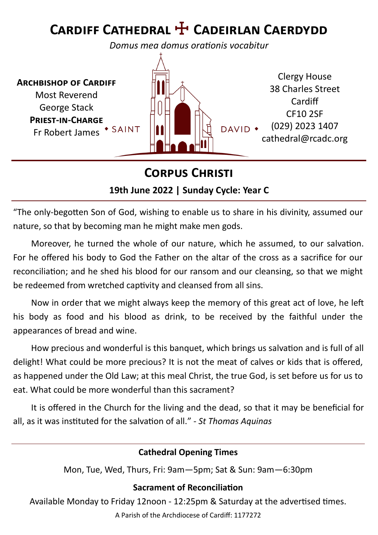# **Cardiff Cathedral** ☩ **Cadeirlan Caerdydd**

*Domus mea domus orationis vocabitur*

**Archbishop of Cardiff** Most Reverend George Stack **Priest-in-Charge** Fr Robert James \* SAINT



# **Corpus Christi**

#### **19th June 2022 | Sunday Cycle: Year C**

"The only-begotten Son of God, wishing to enable us to share in his divinity, assumed our nature, so that by becoming man he might make men gods.

Moreover, he turned the whole of our nature, which he assumed, to our salvation. For he offered his body to God the Father on the altar of the cross as a sacrifice for our reconciliation; and he shed his blood for our ransom and our cleansing, so that we might be redeemed from wretched captivity and cleansed from all sins.

Now in order that we might always keep the memory of this great act of love, he left his body as food and his blood as drink, to be received by the faithful under the appearances of bread and wine.

How precious and wonderful is this banquet, which brings us salvation and is full of all delight! What could be more precious? It is not the meat of calves or kids that is offered, as happened under the Old Law; at this meal Christ, the true God, is set before us for us to eat. What could be more wonderful than this sacrament?

It is offered in the Church for the living and the dead, so that it may be beneficial for all, as it was instituted for the salvation of all." - *St Thomas Aquinas*

#### **Cathedral Opening Times**

Mon, Tue, Wed, Thurs, Fri: 9am—5pm; Sat & Sun: 9am—6:30pm

#### **Sacrament of Reconciliation**

Available Monday to Friday 12noon - 12:25pm & Saturday at the advertised times.

A Parish of the Archdiocese of Cardiff: 1177272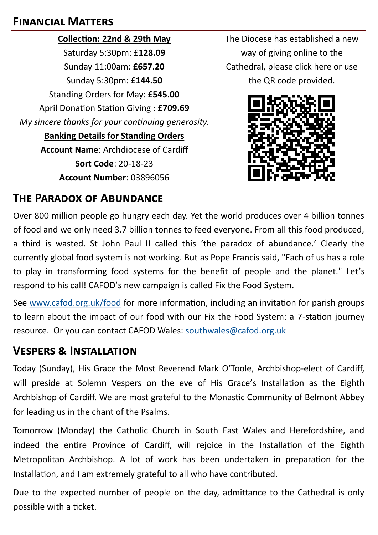#### **Financial Matters**

**Collection: 22nd & 29th May** Saturday 5:30pm: £**128.09** Sunday 11:00am: **£657.20** Sunday 5:30pm: **£144.50** Standing Orders for May: **£545.00** April Donation Station Giving : **£709.69** *My sincere thanks for your continuing generosity.*  **Banking Details for Standing Orders Account Name**: Archdiocese of Cardiff **Sort Code**: 20-18-23 **Account Number**: 03896056

The Diocese has established a new way of giving online to the Cathedral, please click here or use the QR code provided.



### **The Paradox of Abundance**

Over 800 million people go hungry each day. Yet the world produces over 4 billion tonnes of food and we only need 3.7 billion tonnes to feed everyone. From all this food produced, a third is wasted. St John Paul II called this 'the paradox of abundance.' Clearly the currently global food system is not working. But as Pope Francis said, "Each of us has a role to play in transforming food systems for the benefit of people and the planet." Let's respond to his call! CAFOD's new campaign is called Fix the Food System.

See [www.cafod.org.uk/food](http://www.cafod.org.uk/food) for more information, including an invitation for parish groups to learn about the impact of our food with our Fix the Food System: a 7-station journey resource. Or you can contact CAFOD Wales: [southwales@cafod.org.uk](mailto:southwales@cafod.org.uk)

#### **Vespers & Installation**

Today (Sunday), His Grace the Most Reverend Mark O'Toole, Archbishop-elect of Cardiff, will preside at Solemn Vespers on the eve of His Grace's Installation as the Eighth Archbishop of Cardiff. We are most grateful to the Monastic Community of Belmont Abbey for leading us in the chant of the Psalms.

Tomorrow (Monday) the Catholic Church in South East Wales and Herefordshire, and indeed the entire Province of Cardiff, will rejoice in the Installation of the Eighth Metropolitan Archbishop. A lot of work has been undertaken in preparation for the Installation, and I am extremely grateful to all who have contributed.

Due to the expected number of people on the day, admittance to the Cathedral is only possible with a ticket.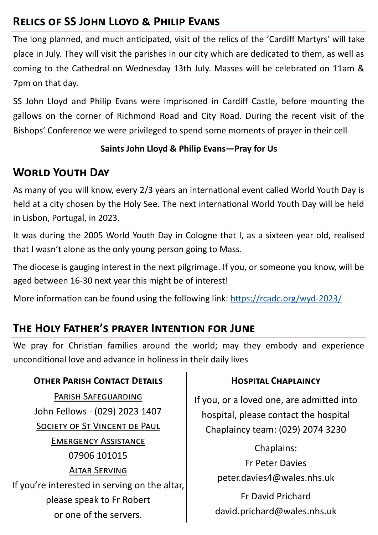# **Relics of SS John Lloyd & Philip Evans**

The long planned, and much anticipated, visit of the relics of the 'Cardiff Martyrs' will take place in July. They will visit the parishes in our city which are dedicated to them, as well as coming to the Cathedral on Wednesday 13th July. Masses will be celebrated on 11am & 7pm on that day.

SS John Lloyd and Philip Evans were imprisoned in Cardiff Castle, before mounting the gallows on the corner of Richmond Road and City Road. During the recent visit of the Bishops' Conference we were privileged to spend some moments of prayer in their cell

#### **Saints John Lloyd & Philip Evans—Pray for Us**

## **World Youth Day**

As many of you will know, every 2/3 years an international event called World Youth Day is held at a city chosen by the Holy See. The next international World Youth Day will be held in Lisbon, Portugal, in 2023.

It was during the 2005 World Youth Day in Cologne that I, as a sixteen year old, realised that I wasn't alone as the only young person going to Mass.

The diocese is gauging interest in the next pilgrimage. If you, or someone you know, will be aged between 16-30 next year this might be of interest!

More information can be found using the following link: [https://rcadc.org/wyd](https://rcadc.org/wyd-2023/)-2023/

# **The Holy Father's prayer Intention for June**

We pray for Christian families around the world; may they embody and experience unconditional love and advance in holiness in their daily lives

#### **OTHER PARISH CONTACT DETAILS CONSERVANT CHAPLAINCY**

Parish Safeguarding John Fellows - (029) 2023 1407 SOCIETY OF ST VINCENT DE PAUL Emergency Assistance 07906 101015 Altar Serving If you're interested in serving on the altar, please speak to Fr Robert or one of the servers.

If you, or a loved one, are admitted into hospital, please contact the hospital Chaplaincy team: (029) 2074 3230

> Chaplains: Fr Peter Davies peter.davies4@wales.nhs.uk

Fr David Prichard david.prichard@wales.nhs.uk